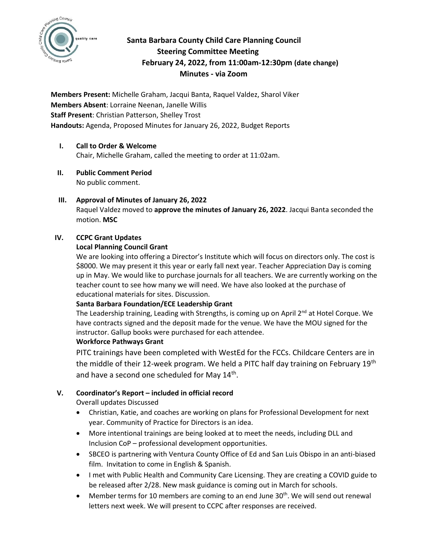

# **Santa Barbara County Child Care Planning Council Steering Committee Meeting February 24, 2022, from 11:00am-12:30pm (date change) Minutes - via Zoom**

**Members Present:** Michelle Graham, Jacqui Banta, Raquel Valdez, Sharol Viker **Members Absent**: Lorraine Neenan, Janelle Willis **Staff Present**: Christian Patterson, Shelley Trost **Handouts:** Agenda, Proposed Minutes for January 26, 2022, Budget Reports

# **I. Call to Order & Welcome**

Chair, Michelle Graham, called the meeting to order at 11:02am.

- **II. Public Comment Period**  No public comment.
- **III. Approval of Minutes of January 26, 2022** Raquel Valdez moved to **approve the minutes of January 26, 2022**. Jacqui Banta seconded the motion. **MSC**

### **IV. CCPC Grant Updates**

### **Local Planning Council Grant**

We are looking into offering a Director's Institute which will focus on directors only. The cost is \$8000. We may present it this year or early fall next year. Teacher Appreciation Day is coming up in May. We would like to purchase journals for all teachers. We are currently working on the teacher count to see how many we will need. We have also looked at the purchase of educational materials for sites. Discussion.

# **Santa Barbara Foundation/ECE Leadership Grant**

The Leadership training, Leading with Strengths, is coming up on April 2<sup>nd</sup> at Hotel Corque. We have contracts signed and the deposit made for the venue. We have the MOU signed for the instructor. Gallup books were purchased for each attendee.

#### **Workforce Pathways Grant**

PITC trainings have been completed with WestEd for the FCCs. Childcare Centers are in the middle of their 12-week program. We held a PITC half day training on February 19<sup>th</sup> and have a second one scheduled for May 14<sup>th</sup>.

# **V. Coordinator's Report – included in official record**

Overall updates Discussed

- Christian, Katie, and coaches are working on plans for Professional Development for next year. Community of Practice for Directors is an idea.
- More intentional trainings are being looked at to meet the needs, including DLL and Inclusion CoP – professional development opportunities.
- SBCEO is partnering with Ventura County Office of Ed and San Luis Obispo in an anti-biased film. Invitation to come in English & Spanish.
- I met with Public Health and Community Care Licensing. They are creating a COVID guide to be released after 2/28. New mask guidance is coming out in March for schools.
- Member terms for 10 members are coming to an end June  $30<sup>th</sup>$ . We will send out renewal letters next week. We will present to CCPC after responses are received.